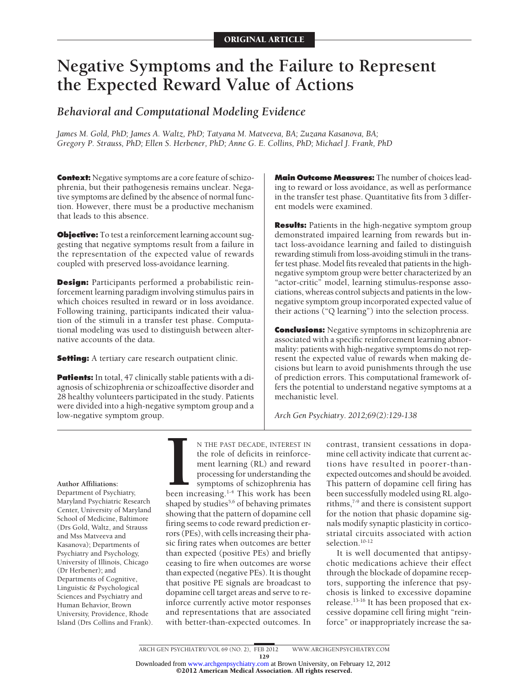# **Negative Symptoms and the Failure to Represent the Expected Reward Value of Actions**

## *Behavioral and Computational Modeling Evidence*

*James M. Gold, PhD; James A. Waltz, PhD; Tatyana M. Matveeva, BA; Zuzana Kasanova, BA; Gregory P. Strauss, PhD; Ellen S. Herbener, PhD; Anne G. E. Collins, PhD; Michael J. Frank, PhD*

**Context:** Negative symptoms are a core feature of schizophrenia, but their pathogenesis remains unclear. Negative symptoms are defined by the absence of normal function. However, there must be a productive mechanism that leads to this absence.

**Objective:** To test a reinforcement learning account suggesting that negative symptoms result from a failure in the representation of the expected value of rewards coupled with preserved loss-avoidance learning.

**Design:** Participants performed a probabilistic reinforcement learning paradigm involving stimulus pairs in which choices resulted in reward or in loss avoidance. Following training, participants indicated their valuation of the stimuli in a transfer test phase. Computational modeling was used to distinguish between alternative accounts of the data.

**Setting:** A tertiary care research outpatient clinic.

**Patients:** In total, 47 clinically stable patients with a diagnosis of schizophrenia or schizoaffective disorder and 28 healthy volunteers participated in the study. Patients were divided into a high-negative symptom group and a low-negative symptom group.

**Main Outcome Measures:** The number of choices leading to reward or loss avoidance, as well as performance in the transfer test phase. Quantitative fits from 3 different models were examined.

**Results:** Patients in the high-negative symptom group demonstrated impaired learning from rewards but intact loss-avoidance learning and failed to distinguish rewarding stimuli from loss-avoiding stimuli in the transfer test phase. Model fits revealed that patients in the highnegative symptom group were better characterized by an "actor-critic" model, learning stimulus-response associations, whereas control subjects and patients in the lownegative symptom group incorporated expected value of their actions ("Q learning") into the selection process.

**Conclusions:** Negative symptoms in schizophrenia are associated with a specific reinforcement learning abnormality: patients with high-negative symptoms do not represent the expected value of rewards when making decisions but learn to avoid punishments through the use of prediction errors. This computational framework offers the potential to understand negative symptoms at a mechanistic level.

*Arch Gen Psychiatry. 2012;69(2):129-138*

### **Author Affiliations:**

Department of Psychiatry, Maryland Psychiatric Research Center, University of Maryland School of Medicine, Baltimore (Drs Gold, Waltz, and Strauss and Mss Matveeva and Kasanova); Departments of Psychiatry and Psychology, University of Illinois, Chicago (Dr Herbener); and Departments of Cognitive, Linguistic & Psychological Sciences and Psychiatry and Human Behavior, Brown University, Providence, Rhode Island (Drs Collins and Frank).

IN THE PAST DECADE, INTEREST IN<br>
the role of deficits in reinforce-<br>
ment learning (RL) and reward<br>
processing for understanding the<br>
symptoms of schizophrenia has<br>
been increasing.<sup>1-4</sup> This work has been<br>
shaned by studi N THE PAST DECADE, INTEREST IN the role of deficits in reinforcement learning (RL) and reward processing for understanding the symptoms of schizophrenia has shaped by studies<sup>5,6</sup> of behaving primates showing that the pattern of dopamine cell firing seems to code reward prediction errors (PEs), with cells increasing their phasic firing rates when outcomes are better than expected (positive PEs) and briefly ceasing to fire when outcomes are worse than expected (negative PEs). It is thought that positive PE signals are broadcast to dopamine cell target areas and serve to reinforce currently active motor responses and representations that are associated with better-than-expected outcomes. In

contrast, transient cessations in dopamine cell activity indicate that current actions have resulted in poorer-thanexpected outcomes and should be avoided. This pattern of dopamine cell firing has been successfully modeled using RL algorithms, $7-9$  and there is consistent support for the notion that phasic dopamine signals modify synaptic plasticity in corticostriatal circuits associated with action selection.<sup>10-12</sup>

It is well documented that antipsychotic medications achieve their effect through the blockade of dopamine receptors, supporting the inference that psychosis is linked to excessive dopamine release.13-16 It has been proposed that excessive dopamine cell firing might "reinforce" or inappropriately increase the sa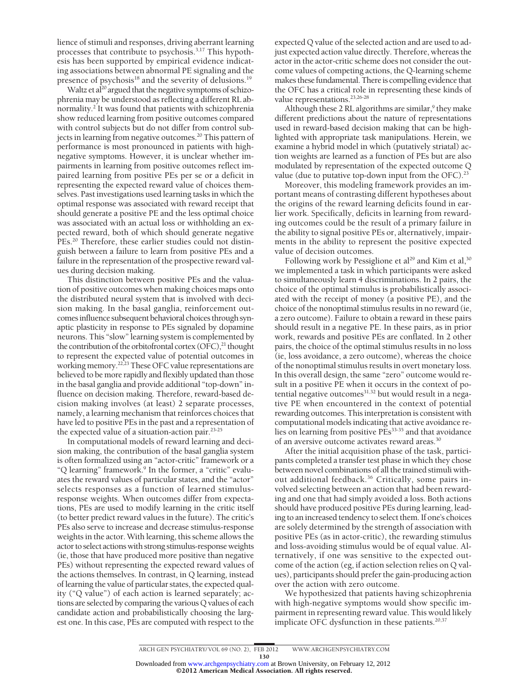lience of stimuli and responses, driving aberrant learning processes that contribute to psychosis.3,17 This hypothesis has been supported by empirical evidence indicating associations between abnormal PE signaling and the presence of psychosis<sup>18</sup> and the severity of delusions.<sup>19</sup>

Waltz et al<sup>20</sup> argued that the negative symptoms of schizophrenia may be understood as reflecting a different RL abnormality.2 It was found that patients with schizophrenia show reduced learning from positive outcomes compared with control subjects but do not differ from control subjects in learning from negative outcomes.<sup>20</sup> This pattern of performance is most pronounced in patients with highnegative symptoms. However, it is unclear whether impairments in learning from positive outcomes reflect impaired learning from positive PEs per se or a deficit in representing the expected reward value of choices themselves. Past investigations used learning tasks in which the optimal response was associated with reward receipt that should generate a positive PE and the less optimal choice was associated with an actual loss or withholding an expected reward, both of which should generate negative PEs.<sup>20</sup> Therefore, these earlier studies could not distinguish between a failure to learn from positive PEs and a failure in the representation of the prospective reward values during decision making.

This distinction between positive PEs and the valuation of positive outcomes when making choices maps onto the distributed neural system that is involved with decision making. In the basal ganglia, reinforcement outcomesinfluence subsequent behavioral choices through synaptic plasticity in response to PEs signaled by dopamine neurons. This "slow" learning system is complemented by the contribution of the orbitofrontal cortex  $(OFC)$ ,<sup>21</sup> thought to represent the expected value of potential outcomes in working memory.<sup>22,23</sup> These OFC value representations are believed to be more rapidly and flexibly updated than those in the basal ganglia and provide additional "top-down" influence on decision making. Therefore, reward-based decision making involves (at least) 2 separate processes, namely, a learning mechanism that reinforces choices that have led to positive PEs in the past and a representation of the expected value of a situation-action pair.23-25

In computational models of reward learning and decision making, the contribution of the basal ganglia system is often formalized using an "actor-critic" framework or a "Q learning" framework.<sup>9</sup> In the former, a "critic" evaluates the reward values of particular states, and the "actor" selects responses as a function of learned stimulusresponse weights. When outcomes differ from expectations, PEs are used to modify learning in the critic itself (to better predict reward values in the future). The critic's PEs also serve to increase and decrease stimulus-response weights in the actor. With learning, this scheme allows the actor to select actions with strong stimulus-response weights (ie, those that have produced more positive than negative PEs) without representing the expected reward values of the actions themselves. In contrast, in Q learning, instead of learning the value of particular states, the expected quality ("Q value") of each action is learned separately; actions are selected by comparing the various Q values of each candidate action and probabilistically choosing the largest one. In this case, PEs are computed with respect to the

expected Q value of the selected action and are used to adjust expected action value directly. Therefore, whereas the actor in the actor-critic scheme does not consider the outcome values of competing actions, the Q-learning scheme makes these fundamental. There is compelling evidence that the OFC has a critical role in representing these kinds of value representations.<sup>23,26-28</sup>

Although these 2 RL algorithms are similar, $9$  they make different predictions about the nature of representations used in reward-based decision making that can be highlighted with appropriate task manipulations. Herein, we examine a hybrid model in which (putatively striatal) action weights are learned as a function of PEs but are also modulated by representation of the expected outcome Q value (due to putative top-down input from the OFC).<sup>23</sup>

Moreover, this modeling framework provides an important means of contrasting different hypotheses about the origins of the reward learning deficits found in earlier work. Specifically, deficits in learning from rewarding outcomes could be the result of a primary failure in the ability to signal positive PEs or, alternatively, impairments in the ability to represent the positive expected value of decision outcomes.

Following work by Pessiglione et al<sup>29</sup> and Kim et al,<sup>30</sup> we implemented a task in which participants were asked to simultaneously learn 4 discriminations. In 2 pairs, the choice of the optimal stimulus is probabilistically associated with the receipt of money (a positive PE), and the choice of the nonoptimal stimulus results in no reward (ie, a zero outcome). Failure to obtain a reward in these pairs should result in a negative PE. In these pairs, as in prior work, rewards and positive PEs are conflated. In 2 other pairs, the choice of the optimal stimulus results in no loss (ie, loss avoidance, a zero outcome), whereas the choice of the nonoptimal stimulus results in overt monetary loss. In this overall design, the same "zero" outcome would result in a positive PE when it occurs in the context of potential negative outcomes<sup>31,32</sup> but would result in a negative PE when encountered in the context of potential rewarding outcomes. This interpretation is consistent with computational models indicating that active avoidance relies on learning from positive  $PEs<sup>33-35</sup>$  and that avoidance of an aversive outcome activates reward areas.30

After the initial acquisition phase of the task, participants completed a transfer test phase in which they chose between novel combinations of all the trained stimuli without additional feedback.<sup>36</sup> Critically, some pairs involved selecting between an action that had been rewarding and one that had simply avoided a loss. Both actions should have produced positive PEs during learning, leading to an increased tendency to select them. If one's choices are solely determined by the strength of association with positive PEs (as in actor-critic), the rewarding stimulus and loss-avoiding stimulus would be of equal value. Alternatively, if one was sensitive to the expected outcome of the action (eg, if action selection relies on Q values), participants should prefer the gain-producing action over the action with zero outcome.

We hypothesized that patients having schizophrenia with high-negative symptoms would show specific impairment in representing reward value. This would likely implicate OFC dysfunction in these patients. $20,37$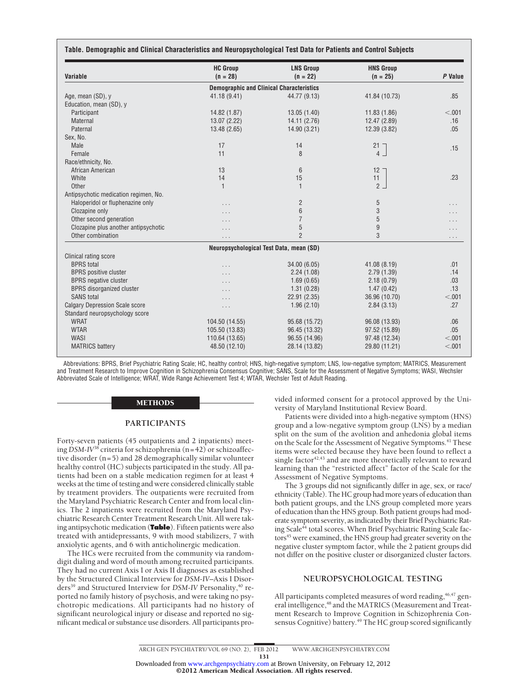| <b>Variable</b>                       | <b>HC Group</b><br>$(n = 28)$                   | <b>LNS Group</b><br>$(n = 22)$ | <b>HNS Group</b><br>$(n = 25)$ | P Value |
|---------------------------------------|-------------------------------------------------|--------------------------------|--------------------------------|---------|
|                                       | <b>Demographic and Clinical Characteristics</b> |                                |                                |         |
| Age, mean (SD), y                     | 41.18 (9.41)                                    | 44.77 (9.13)                   | 41.84 (10.73)                  | .85     |
| Education, mean (SD), y               |                                                 |                                |                                |         |
| Participant                           | 14.82 (1.87)                                    | 13.05(1.40)                    | 11.83(1.86)                    | < .001  |
| Maternal                              | 13.07 (2.22)                                    | 14.11 (2.76)                   | 12.47 (2.89)                   | .16     |
| Paternal                              | 13.48 (2.65)                                    | 14.90 (3.21)                   | 12.39 (3.82)                   | .05     |
| Sex, No.                              |                                                 |                                |                                |         |
| Male                                  | 17                                              | 14                             | $21 -$                         | .15     |
| Female                                | 11                                              | 8                              | $\overline{4}$                 |         |
| Race/ethnicity, No.                   |                                                 |                                |                                |         |
| African American                      | 13                                              | $6\phantom{1}$                 | $12 -$                         |         |
| White                                 | 14                                              | 15                             | 11                             | .23     |
| Other                                 | $\mathbf{1}$                                    | $\mathbf{1}$                   | $2 -$                          |         |
| Antipsychotic medication regimen, No. |                                                 |                                |                                |         |
| Haloperidol or fluphenazine only      | $\cdots$                                        | $\overline{c}$                 | 5                              | .       |
| Clozapine only                        | $\cdots$                                        | 6                              | 3                              | .       |
| Other second generation               | $\cdots$                                        | $\overline{7}$                 | 5                              | .       |
| Clozapine plus another antipsychotic  | $\cdots$                                        | $\overline{5}$                 | 9                              | .       |
| Other combination                     | $\cdots$                                        | $\overline{2}$                 | 3                              | .       |
|                                       | Neuropsychological Test Data, mean (SD)         |                                |                                |         |
| Clinical rating score                 |                                                 |                                |                                |         |
| <b>BPRS</b> total                     |                                                 | 34.00 (6.05)                   | 41.08 (8.19)                   | .01     |
| <b>BPRS</b> positive cluster          |                                                 | 2.24(1.08)                     | 2.79(1.39)                     | .14     |
| <b>BPRS</b> negative cluster          | $\cdots$                                        | 1.69(0.65)                     | 2.18(0.79)                     | .03     |
| <b>BPRS</b> disorganized cluster      | $\cdots$                                        | 1.31(0.28)                     | 1.47(0.42)                     | .13     |
| <b>SANS</b> total                     | $\cdots$                                        | 22.91 (2.35)                   | 36.96 (10.70)                  | < .001  |
| <b>Calgary Depression Scale score</b> | $\cdots$                                        | 1.96(2.10)                     | 2.84(3.13)                     | .27     |
| Standard neuropsychology score        |                                                 |                                |                                |         |
| <b>WRAT</b>                           | 104.50 (14.55)                                  | 95.68 (15.72)                  | 96.08 (13.93)                  | .06     |
| <b>WTAR</b>                           | 105.50 (13.83)                                  | 96.45 (13.32)                  | 97.52 (15.89)                  | .05     |
| <b>WASI</b>                           | 110.64 (13.65)                                  | 96.55 (14.96)                  | 97.48 (12.34)                  | < .001  |
| <b>MATRICS</b> battery                | 48.50 (12.10)                                   | 28.14 (13.82)                  | 29.80 (11.21)                  | < .001  |

Abbreviations: BPRS, Brief Psychiatric Rating Scale; HC, healthy control; HNS, high-negative symptom; LNS, low-negative symptom; MATRICS, Measurement and Treatment Research to Improve Cognition in Schizophrenia Consensus Cognitive; SANS, Scale for the Assessment of Negative Symptoms; WASI, Wechsler Abbreviated Scale of Intelligence; WRAT, Wide Range Achievement Test 4; WTAR, Wechsler Test of Adult Reading.

### METHODS

### **PARTICIPANTS**

Forty-seven patients (45 outpatients and 2 inpatients) meeting *DSM-IV*<sup>38</sup> criteria for schizophrenia (n=42) or schizoaffective disorder (n=5) and 28 demographically similar volunteer healthy control (HC) subjects participated in the study. All patients had been on a stable medication regimen for at least 4 weeks at the time of testing and were considered clinically stable by treatment providers. The outpatients were recruited from the Maryland Psychiatric Research Center and from local clinics. The 2 inpatients were recruited from the Maryland Psychiatric Research Center Treatment Research Unit. All were taking antipsychotic medication (**Table**). Fifteen patients were also treated with antidepressants, 9 with mood stabilizers, 7 with anxiolytic agents, and 6 with anticholinergic medication.

The HCs were recruited from the community via randomdigit dialing and word of mouth among recruited participants. They had no current Axis I or Axis II diagnoses as established by the Structured Clinical Interview for *DSM-IV*–Axis I Disorders<sup>39</sup> and Structured Interview for *DSM-IV* Personality,<sup>40</sup> reported no family history of psychosis, and were taking no psychotropic medications. All participants had no history of significant neurological injury or disease and reported no significant medical or substance use disorders. All participants provided informed consent for a protocol approved by the University of Maryland Institutional Review Board.

Patients were divided into a high-negative symptom (HNS) group and a low-negative symptom group (LNS) by a median split on the sum of the avolition and anhedonia global items on the Scale for the Assessment of Negative Symptoms.<sup>41</sup> These items were selected because they have been found to reflect a single factor $42,43$  and are more theoretically relevant to reward learning than the "restricted affect" factor of the Scale for the Assessment of Negative Symptoms.

The 3 groups did not significantly differ in age, sex, or race/ ethnicity (Table). The HC group had more years of education than both patient groups, and the LNS group completed more years of education than the HNS group. Both patient groups had moderate symptom severity, as indicated by their Brief Psychiatric Rating Scale<sup>44</sup> total scores. When Brief Psychiatric Rating Scale factors<sup>45</sup> were examined, the HNS group had greater severity on the negative cluster symptom factor, while the 2 patient groups did not differ on the positive cluster or disorganized cluster factors.

### **NEUROPSYCHOLOGICAL TESTING**

All participants completed measures of word reading,  $46,47$  general intelligence,<sup>48</sup> and the MATRICS (Measurement and Treatment Research to Improve Cognition in Schizophrenia Consensus Cognitive) battery.<sup>49</sup> The HC group scored significantly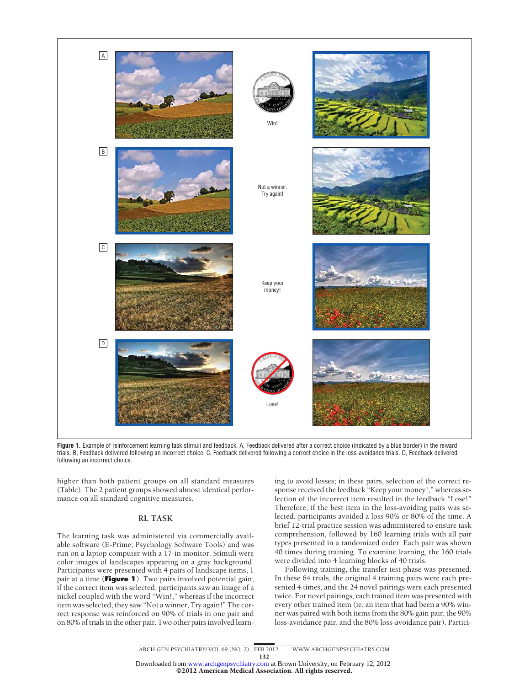

**Figure 1.** Example of reinforcement learning task stimuli and feedback. A, Feedback delivered after a correct choice (indicated by a blue border) in the reward trials. B, Feedback delivered following an incorrect choice. C, Feedback delivered following a correct choice in the loss-avoidance trials. D, Feedback delivered following an incorrect choice.

higher than both patient groups on all standard measures (Table). The 2 patient groups showed almost identical performance on all standard cognitive measures.

### **RL TASK**

The learning task was administered via commercially available software (E-Prime; Psychology Software Tools) and was run on a laptop computer with a 17-in monitor. Stimuli were color images of landscapes appearing on a gray background. Participants were presented with 4 pairs of landscape items, 1 pair at a time (**Figure 1**). Two pairs involved potential gain; if the correct item was selected, participants saw an image of a nickel coupled with the word "Win!," whereas if the incorrect item was selected, they saw "Not a winner, Try again!" The correct response was reinforced on 90% of trials in one pair and on 80% of trials in the other pair. Two other pairs involved learning to avoid losses; in these pairs, selection of the correct response received the feedback "Keep your money!," whereas selection of the incorrect item resulted in the feedback "Lose!" Therefore, if the best item in the loss-avoiding pairs was selected, participants avoided a loss 90% or 80% of the time. A brief 12-trial practice session was administered to ensure task comprehension, followed by 160 learning trials with all pair types presented in a randomized order. Each pair was shown 40 times during training. To examine learning, the 160 trials were divided into 4 learning blocks of 40 trials.

Following training, the transfer test phase was presented. In these 64 trials, the original 4 training pairs were each presented 4 times, and the 24 novel pairings were each presented twice. For novel pairings, each trained item was presented with every other trained item (ie, an item that had been a 90% winner was paired with both items from the 80% gain pair, the 90% loss-avoidance pair, and the 80% loss-avoidance pair). Partici-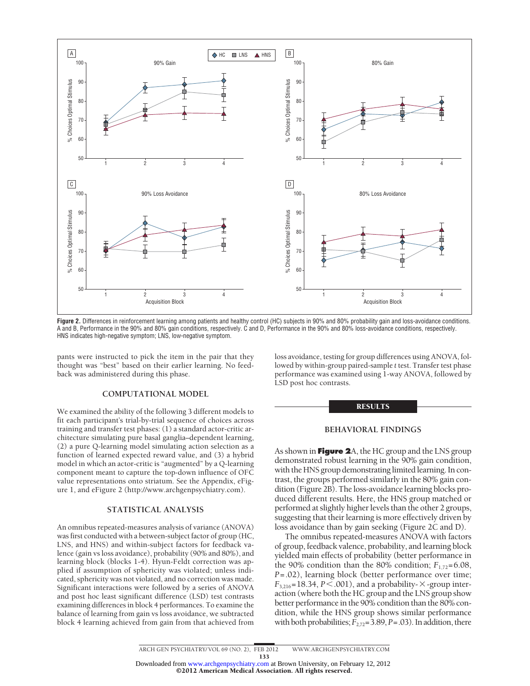

Figure 2. Differences in reinforcement learning among patients and healthy control (HC) subjects in 90% and 80% probability gain and loss-avoidance conditions. A and B, Performance in the 90% and 80% gain conditions, respectively. C and D, Performance in the 90% and 80% loss-avoidance conditions, respectively. HNS indicates high-negative symptom; LNS, low-negative symptom.

pants were instructed to pick the item in the pair that they thought was "best" based on their earlier learning. No feedback was administered during this phase.

### **COMPUTATIONAL MODEL**

We examined the ability of the following 3 different models to fit each participant's trial-by-trial sequence of choices across training and transfer test phases: (1) a standard actor-critic architecture simulating pure basal ganglia–dependent learning, (2) a pure Q-learning model simulating action selection as a function of learned expected reward value, and (3) a hybrid model in which an actor-critic is "augmented" by a Q-learning component meant to capture the top-down influence of OFC value representations onto striatum. See the Appendix, eFigure 1, and eFigure 2 (http://www.archgenpsychiatry.com).

### **STATISTICAL ANALYSIS**

An omnibus repeated-measures analysis of variance (ANOVA) was first conducted with a between-subject factor of group (HC, LNS, and HNS) and within-subject factors for feedback valence (gain vs loss avoidance), probability (90% and 80%), and learning block (blocks 1-4). Hyun-Feldt correction was applied if assumption of sphericity was violated; unless indicated, sphericity was not violated, and no correction was made. Significant interactions were followed by a series of ANOVA and post hoc least significant difference (LSD) test contrasts examining differences in block 4 performances. To examine the balance of learning from gain vs loss avoidance, we subtracted block 4 learning achieved from gain from that achieved from

loss avoidance, testing for group differences using ANOVA, followed by within-group paired-sample *t* test. Transfer test phase performance was examined using 1-way ANOVA, followed by LSD post hoc contrasts.

### RESULTS

### **BEHAVIORAL FINDINGS**

As shown in **Figure 2**A, the HC group and the LNS group demonstrated robust learning in the 90% gain condition, with the HNS group demonstrating limited learning. In contrast, the groups performed similarly in the 80% gain condition (Figure 2B). The loss-avoidance learning blocks produced different results. Here, the HNS group matched or performed at slightly higher levels than the other 2 groups, suggesting that their learning is more effectively driven by loss avoidance than by gain seeking (Figure 2C and D).

The omnibus repeated-measures ANOVA with factors of group, feedback valence, probability, and learning block yielded main effects of probability (better performance in the 90% condition than the 80% condition;  $F_{1,72}$ =6.08, *P*=.02), learning block (better performance over time;  $F_{3,216}$ =18.34, *P*<.001), and a probability- $\times$ -group interaction (where both the HC group and the LNS group show better performance in the 90% condition than the 80% condition, while the HNS group shows similar performance with both probabilities;  $F_{2,72}$ =3.89,  $P$ =.03). In addition, there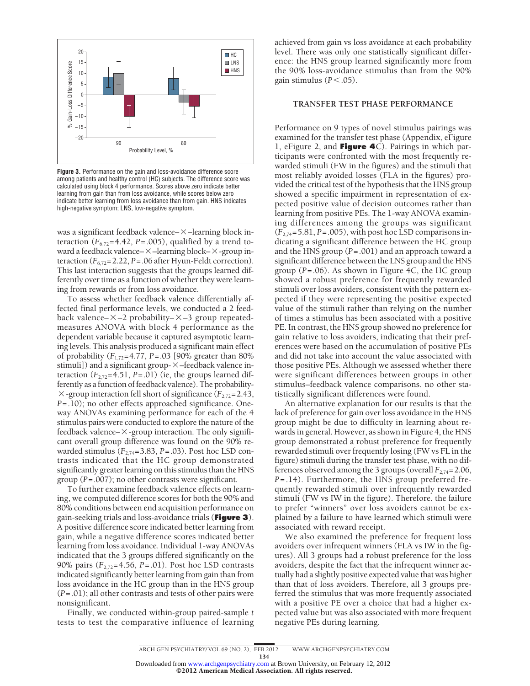

**Figure 3.** Performance on the gain and loss-avoidance difference score among patients and healthy control (HC) subjects. The difference score was calculated using block 4 performance. Scores above zero indicate better learning from gain than from loss avoidance, while scores below zero indicate better learning from loss avoidance than from gain. HNS indicates high-negative symptom; LNS, low-negative symptom.

was a significant feedback valence– $\times$ –learning block interaction  $(F_{6,72} = 4.42, P = .005)$ , qualified by a trend toward a feedback valence– $\times$ –learning block– $\times$ -group interaction  $(F_{6,72}=2.22, P=.06$  after Hyun-Feldt correction). This last interaction suggests that the groups learned differently over time as a function of whether they were learning from rewards or from loss avoidance.

To assess whether feedback valence differentially affected final performance levels, we conducted a 2 feedback valence– $\times$ –2 probability– $\times$ –3 group repeatedmeasures ANOVA with block 4 performance as the dependent variable because it captured asymptotic learning levels. This analysis produced a significant main effect of probability (*F*1,72=4.77, *P*=.03 [90% greater than 80% stimuli]) and a significant group- $\times$ –feedback valence interaction  $(F_{2,72} = 4.51, P = .01)$  (ie, the groups learned differently as a function of feedback valence). The probability-  $\times$ -group interaction fell short of significance ( $F_{2,72}$ =2.43, *P*=.10); no other effects approached significance. Oneway ANOVAs examining performance for each of the 4 stimulus pairs were conducted to explore the nature of the feedback valence– $\times$ -group interaction. The only significant overall group difference was found on the 90% rewarded stimulus  $(F_{2,74}=3.83, P=.03)$ . Post hoc LSD contrasts indicated that the HC group demonstrated significantly greater learning on this stimulus than the HNS group (*P*=.007); no other contrasts were significant.

To further examine feedback valence effects on learning, we computed difference scores for both the 90% and 80% conditions between end acquisition performance on gain-seeking trials and loss-avoidance trials (**Figure 3**). A positive difference score indicated better learning from gain, while a negative difference scores indicated better learning from loss avoidance. Individual 1-way ANOVAs indicated that the 3 groups differed significantly on the 90% pairs (*F*2,72=4.56, *P*=.01). Post hoc LSD contrasts indicated significantly better learning from gain than from loss avoidance in the HC group than in the HNS group (*P*=.01); all other contrasts and tests of other pairs were nonsignificant.

Finally, we conducted within-group paired-sample *t* tests to test the comparative influence of learning achieved from gain vs loss avoidance at each probability level. There was only one statistically significant difference: the HNS group learned significantly more from the 90% loss-avoidance stimulus than from the 90% gain stimulus  $(P < .05)$ .

### **TRANSFER TEST PHASE PERFORMANCE**

Performance on 9 types of novel stimulus pairings was examined for the transfer test phase (Appendix, eFigure 1, eFigure 2, and **Figure 4**C). Pairings in which participants were confronted with the most frequently rewarded stimuli (FW in the figures) and the stimuli that most reliably avoided losses (FLA in the figures) provided the critical test of the hypothesis that the HNS group showed a specific impairment in representation of expected positive value of decision outcomes rather than learning from positive PEs. The 1-way ANOVA examining differences among the groups was significant  $(F_{2.74} = 5.81, P = .005)$ , with post hoc LSD comparisons indicating a significant difference between the HC group and the HNS group (*P*=.001) and an approach toward a significant difference between the LNS group and the HNS group (*P*=.06). As shown in Figure 4C, the HC group showed a robust preference for frequently rewarded stimuli over loss avoiders, consistent with the pattern expected if they were representing the positive expected value of the stimuli rather than relying on the number of times a stimulus has been associated with a positive PE. In contrast, the HNS group showed no preference for gain relative to loss avoiders, indicating that their preferences were based on the accumulation of positive PEs and did not take into account the value associated with those positive PEs. Although we assessed whether there were significant differences between groups in other stimulus–feedback valence comparisons, no other statistically significant differences were found.

An alternative explanation for our results is that the lack of preference for gain over loss avoidance in the HNS group might be due to difficulty in learning about rewards in general. However, as shown in Figure 4, the HNS group demonstrated a robust preference for frequently rewarded stimuli over frequently losing (FW vs FL in the figure) stimuli during the transfer test phase, with no differences observed among the 3 groups (overall  $F_{2,74}$ = 2.06, *P*=.14). Furthermore, the HNS group preferred frequently rewarded stimuli over infrequently rewarded stimuli (FW vs IW in the figure). Therefore, the failure to prefer "winners" over loss avoiders cannot be explained by a failure to have learned which stimuli were associated with reward receipt.

We also examined the preference for frequent loss avoiders over infrequent winners (FLA vs IW in the figures). All 3 groups had a robust preference for the loss avoiders, despite the fact that the infrequent winner actually had a slightly positive expected value that was higher than that of loss avoiders. Therefore, all 3 groups preferred the stimulus that was more frequently associated with a positive PE over a choice that had a higher expected value but was also associated with more frequent negative PEs during learning.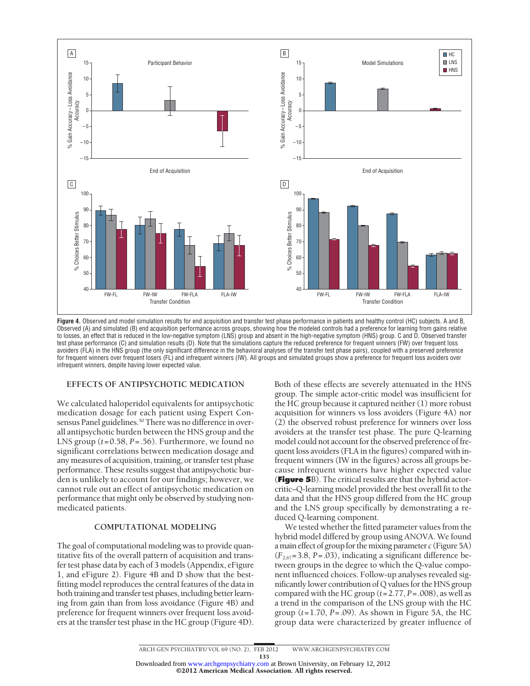

**Figure 4.** Observed and model simulation results for end acquisition and transfer test phase performance in patients and healthy control (HC) subjects. A and B, Observed (A) and simulated (B) end acquisition performance across groups, showing how the modeled controls had a preference for learning from gains relative to losses, an effect that is reduced in the low-negative symptom (LNS) group and absent in the high-negative symptom (HNS) group. C and D, Observed transfer test phase performance (C) and simulation results (D). Note that the simulations capture the reduced preference for frequent winners (FW) over frequent loss avoiders (FLA) in the HNS group (the only significant difference in the behavioral analyses of the transfer test phase pairs), coupled with a preserved preference for frequent winners over frequent losers (FL) and infrequent winners (IW). All groups and simulated groups show a preference for frequent loss avoiders over infrequent winners, despite having lower expected value.

### **EFFECTS OF ANTIPSYCHOTIC MEDICATION**

We calculated haloperidol equivalents for antipsychotic medication dosage for each patient using Expert Consensus Panel guidelines.<sup>50</sup> There was no difference in overall antipsychotic burden between the HNS group and the LNS group (*t*=0.58, *P*=.56). Furthermore, we found no significant correlations between medication dosage and any measures of acquisition, training, or transfer test phase performance. These results suggest that antipsychotic burden is unlikely to account for our findings; however, we cannot rule out an effect of antipsychotic medication on performance that might only be observed by studying nonmedicated patients.

### **COMPUTATIONAL MODELING**

The goal of computational modeling was to provide quantitative fits of the overall pattern of acquisition and transfer test phase data by each of 3 models (Appendix, eFigure 1, and eFigure 2). Figure 4B and D show that the bestfitting model reproduces the central features of the data in both training and transfer test phases, including better learning from gain than from loss avoidance (Figure 4B) and preference for frequent winners over frequent loss avoiders at the transfer test phase in the HC group (Figure 4D). Both of these effects are severely attenuated in the HNS group. The simple actor-critic model was insufficient for the HC group because it captured neither (1) more robust acquisition for winners vs loss avoiders (Figure 4A) nor (2) the observed robust preference for winners over loss avoiders at the transfer test phase. The pure Q-learning model could not account for the observed preference of frequent loss avoiders (FLA in the figures) compared with infrequent winners (IW in the figures) across all groups because infrequent winners have higher expected value (**Figure 5**B). The critical results are that the hybrid actorcritic–Q-learning model provided the best overall fit to the data and that the HNS group differed from the HC group and the LNS group specifically by demonstrating a reduced Q-learning component.

We tested whether the fitted parameter values from the hybrid model differed by group using ANOVA. We found a main effect of group for the mixing parameter  $c$  (Figure 5A)  $(F_{2.67} = 3.8, P = .03)$ , indicating a significant difference between groups in the degree to which the Q-value component influenced choices. Follow-up analyses revealed significantly lower contribution of Q valuesfor the HNS group compared with the HC group (*t*=2.77, *P*=.008), as well as a trend in the comparison of the LNS group with the HC group  $(t=1.70, P=.09)$ . As shown in Figure 5A, the HC group data were characterized by greater influence of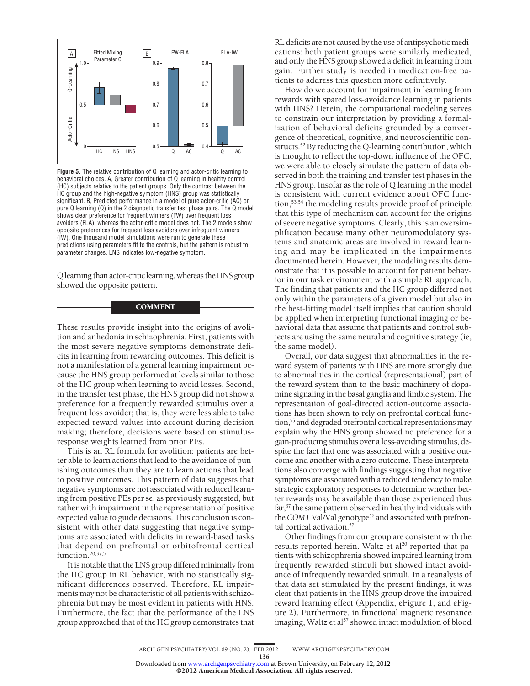

**Figure 5.** The relative contribution of Q learning and actor-critic learning to behavioral choices. A, Greater contribution of Q learning in healthy control (HC) subjects relative to the patient groups. Only the contrast between the HC group and the high-negative symptom (HNS) group was statistically significant. B, Predicted performance in a model of pure actor-critic (AC) or pure Q learning (Q) in the 2 diagnostic transfer test phase pairs. The Q model shows clear preference for frequent winners (FW) over frequent loss avoiders (FLA), whereas the actor-critic model does not. The 2 models show opposite preferences for frequent loss avoiders over infrequent winners (IW). One thousand model simulations were run to generate these predictions using parameters fit to the controls, but the pattern is robust to parameter changes. LNS indicates low-negative symptom.

Qlearning than actor-criticlearning, whereas the HNS group showed the opposite pattern.

### **COMMENT**

These results provide insight into the origins of avolition and anhedonia in schizophrenia. First, patients with the most severe negative symptoms demonstrate deficits in learning from rewarding outcomes. This deficit is not a manifestation of a general learning impairment because the HNS group performed at levels similar to those of the HC group when learning to avoid losses. Second, in the transfer test phase, the HNS group did not show a preference for a frequently rewarded stimulus over a frequent loss avoider; that is, they were less able to take expected reward values into account during decision making; therefore, decisions were based on stimulusresponse weights learned from prior PEs.

This is an RL formula for avolition: patients are better able to learn actions that lead to the avoidance of punishing outcomes than they are to learn actions that lead to positive outcomes. This pattern of data suggests that negative symptoms are not associated with reduced learning from positive PEs per se, as previously suggested, but rather with impairment in the representation of positive expected value to guide decisions. This conclusion is consistent with other data suggesting that negative symptoms are associated with deficits in reward-based tasks that depend on prefrontal or orbitofrontal cortical function.20,37,51

It is notable that the LNS group differed minimally from the HC group in RL behavior, with no statistically significant differences observed. Therefore, RL impairments may not be characteristic of all patients with schizophrenia but may be most evident in patients with HNS. Furthermore, the fact that the performance of the LNS group approached that of the HC group demonstrates that

RL deficits are not caused by the use of antipsychotic medications: both patient groups were similarly medicated, and only the HNS group showed a deficit in learning from gain. Further study is needed in medication-free patients to address this question more definitively.

How do we account for impairment in learning from rewards with spared loss-avoidance learning in patients with HNS? Herein, the computational modeling serves to constrain our interpretation by providing a formalization of behavioral deficits grounded by a convergence of theoretical, cognitive, and neuroscientific constructs.<sup>52</sup> By reducing the Q-learning contribution, which is thought to reflect the top-down influence of the OFC, we were able to closely simulate the pattern of data observed in both the training and transfer test phases in the HNS group. Insofar as the role of Q learning in the model is consistent with current evidence about OFC function,53,54 the modeling results provide proof of principle that this type of mechanism can account for the origins of severe negative symptoms. Clearly, this is an oversimplification because many other neuromodulatory systems and anatomic areas are involved in reward learning and may be implicated in the impairments documented herein. However, the modeling results demonstrate that it is possible to account for patient behavior in our task environment with a simple RL approach. The finding that patients and the HC group differed not only within the parameters of a given model but also in the best-fitting model itself implies that caution should be applied when interpreting functional imaging or behavioral data that assume that patients and control subjects are using the same neural and cognitive strategy (ie, the same model).

Overall, our data suggest that abnormalities in the reward system of patients with HNS are more strongly due to abnormalities in the cortical (representational) part of the reward system than to the basic machinery of dopamine signaling in the basal ganglia and limbic system. The representation of goal-directed action-outcome associations has been shown to rely on prefrontal cortical function,<sup>55</sup> and degraded prefrontal cortical representations may explain why the HNS group showed no preference for a gain-producing stimulus over a loss-avoiding stimulus, despite the fact that one was associated with a positive outcome and another with a zero outcome. These interpretations also converge with findings suggesting that negative symptoms are associated with a reduced tendency to make strategic exploratory responses to determine whether better rewards may be available than those experienced thus  $far$ ,<sup>37</sup>, the same pattern observed in healthy individuals with the *COMT* Val/Val genotype<sup>56</sup> and associated with prefrontal cortical activation.<sup>57</sup>

Other findings from our group are consistent with the results reported herein. Waltz et al<sup>20</sup> reported that patients with schizophrenia showed impaired learning from frequently rewarded stimuli but showed intact avoidance of infrequently rewarded stimuli. In a reanalysis of that data set stimulated by the present findings, it was clear that patients in the HNS group drove the impaired reward learning effect (Appendix, eFigure 1, and eFigure 2). Furthermore, in functional magnetic resonance imaging, Waltz et al<sup>57</sup> showed intact modulation of blood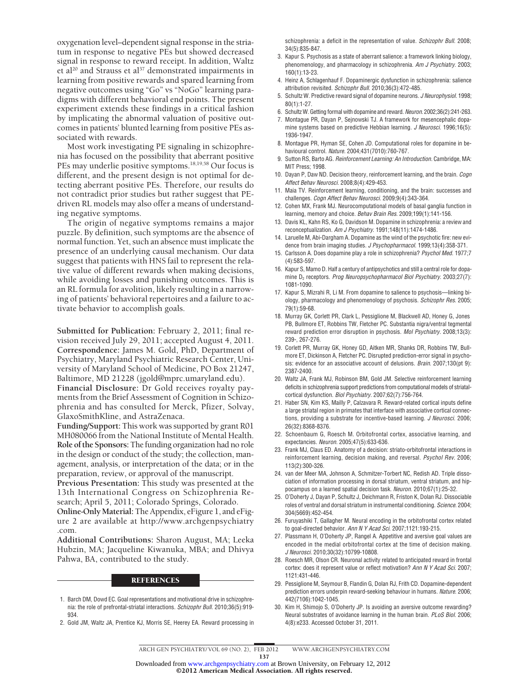oxygenation level–dependent signal response in the striatum in response to negative PEs but showed decreased signal in response to reward receipt. In addition, Waltz et al<sup>20</sup> and Strauss et al<sup>37</sup> demonstrated impairments in learning from positive rewards and spared learning from negative outcomes using "Go" vs "NoGo" learning paradigms with different behavioral end points. The present experiment extends these findings in a critical fashion by implicating the abnormal valuation of positive outcomes in patients' blunted learning from positive PEs associated with rewards.

Most work investigating PE signaling in schizophrenia has focused on the possibility that aberrant positive PEs may underlie positive symptoms.<sup>18,19,58</sup> Our focus is different, and the present design is not optimal for detecting aberrant positive PEs. Therefore, our results do not contradict prior studies but rather suggest that PEdriven RL models may also offer a means of understanding negative symptoms.

The origin of negative symptoms remains a major puzzle. By definition, such symptoms are the absence of normal function. Yet, such an absence must implicate the presence of an underlying causal mechanism. Our data suggest that patients with HNS fail to represent the relative value of different rewards when making decisions, while avoiding losses and punishing outcomes. This is an RL formula for avolition, likely resulting in a narrowing of patients' behavioral repertoires and a failure to activate behavior to accomplish goals.

**Submitted for Publication:** February 2, 2011; final revision received July 29, 2011; accepted August 4, 2011. **Correspondence:** James M. Gold, PhD, Department of Psychiatry, Maryland Psychiatric Research Center, University of Maryland School of Medicine, PO Box 21247, Baltimore, MD 21228 (jgold@mprc.umaryland.edu).

**Financial Disclosure:** Dr Gold receives royalty payments from the Brief Assessment of Cognition in Schizophrenia and has consulted for Merck, Pfizer, Solvay, GlaxoSmithKline, and AstraZenaca.

**Funding/Support:** This work was supported by grant R01 MH080066 from the National Institute of Mental Health. **Role of the Sponsors:** The funding organization had no role in the design or conduct of the study; the collection, management, analysis, or interpretation of the data; or in the preparation, review, or approval of the manuscript.

**Previous Presentation:** This study was presented at the 13th International Congress on Schizophrenia Research; April 5, 2011; Colorado Springs, Colorado.

**Online-Only Material:** The Appendix, eFigure 1, and eFigure 2 are available at http://www.archgenpsychiatry .com.

**Additional Contributions:** Sharon August, MA; Leeka Hubzin, MA; Jacqueline Kiwanuka, MBA; and Dhivya Pahwa, BA, contributed to the study.

#### **REFERENCES**

- 1. Barch DM, Dowd EC. Goal representations and motivational drive in schizophrenia: the role of prefrontal-striatal interactions. *Schizophr Bull*. 2010;36(5):919- 934.
- 2. Gold JM, Waltz JA, Prentice KJ, Morris SE, Heerey EA. Reward processing in

schizophrenia: a deficit in the representation of value. *Schizophr Bull*. 2008; 34(5):835-847.

- 3. Kapur S. Psychosis as a state of aberrant salience: a framework linking biology, phenomenology, and pharmacology in schizophrenia. *Am J Psychiatry*. 2003; 160(1):13-23.
- 4. Heinz A, Schlagenhauf F. Dopaminergic dysfunction in schizophrenia: salience attribution revisited. *Schizophr Bull*. 2010;36(3):472-485.
- 5. Schultz W. Predictive reward signal of dopamine neurons. *J Neurophysiol*. 1998;  $80(1):1-27$
- 6. Schultz W. Getting formal with dopamine and reward.*Neuron*. 2002;36(2):241-263.
- 7. Montague PR, Dayan P, Sejnowski TJ. A framework for mesencephalic dopamine systems based on predictive Hebbian learning. *J Neurosci*. 1996;16(5): 1936-1947.
- 8. Montague PR, Hyman SE, Cohen JD. Computational roles for dopamine in behavioural control. *Nature*. 2004;431(7010):760-767.
- 9. Sutton RS, Barto AG. *Reinforcement Learning: An Introduction.* Cambridge, MA: MIT Press; 1998.
- 10. Dayan P, Daw ND. Decision theory, reinforcement learning, and the brain. *Cogn Affect Behav Neurosci*. 2008;8(4):429-453.
- 11. Maia TV. Reinforcement learning, conditioning, and the brain: successes and challenges. *Cogn Affect Behav Neurosci*. 2009;9(4):343-364.
- 12. Cohen MX, Frank MJ. Neurocomputational models of basal ganglia function in learning, memory and choice. *Behav Brain Res*. 2009;199(1):141-156.
- 13. Davis KL, Kahn RS, Ko G, Davidson M. Dopamine in schizophrenia: a review and reconceptualization. *Am J Psychiatry*. 1991;148(11):1474-1486.
- 14. Laruelle M, Abi-Dargham A. Dopamine as the wind of the psychotic fire: new evidence from brain imaging studies. *J Psychopharmacol*. 1999;13(4):358-371.
- 15. Carlsson A. Does dopamine play a role in schizophrenia? *Psychol Med*. 1977;7 (4):583-597.
- 16. Kapur S, Mamo D. Half a century of antipsychotics and still a central role for dopamine D2 receptors. *Prog Neuropsychopharmacol Biol Psychiatry*. 2003;27(7): 1081-1090.
- 17. Kapur S, Mizrahi R, Li M. From dopamine to salience to psychosis—linking biology, pharmacology and phenomenology of psychosis. *Schizophr Res*. 2005; 79(1):59-68.
- 18. Murray GK, Corlett PR, Clark L, Pessiglione M, Blackwell AD, Honey G, Jones PB, Bullmore ET, Robbins TW, Fletcher PC. Substantia nigra/ventral tegmental reward prediction error disruption in psychosis. *Mol Psychiatry*. 2008;13(3): 239-, 267-276.
- 19. Corlett PR, Murray GK, Honey GD, Aitken MR, Shanks DR, Robbins TW, Bullmore ET, Dickinson A, Fletcher PC. Disrupted prediction-error signal in psychosis: evidence for an associative account of delusions. *Brain*. 2007;130(pt 9): 2387-2400.
- 20. Waltz JA, Frank MJ, Robinson BM, Gold JM. Selective reinforcement learning deficits in schizophrenia support predictions from computational models of striatalcortical dysfunction. *Biol Psychiatry*. 2007;62(7):756-764.
- 21. Haber SN, Kim KS, Mailly P, Calzavara R. Reward-related cortical inputs define a large striatal region in primates that interface with associative cortical connections, providing a substrate for incentive-based learning. *J Neurosci*. 2006; 26(32):8368-8376.
- 22. Schoenbaum G, Roesch M. Orbitofrontal cortex, associative learning, and expectancies. *Neuron*. 2005;47(5):633-636.
- 23. Frank MJ, Claus ED. Anatomy of a decision: striato-orbitofrontal interactions in reinforcement learning, decision making, and reversal. *Psychol Rev*. 2006; 113(2):300-326.
- 24. van der Meer MA, Johnson A, Schmitzer-Torbert NC, Redish AD. Triple dissociation of information processing in dorsal striatum, ventral striatum, and hippocampus on a learned spatial decision task. *Neuron*. 2010;67(1):25-32.
- 25. O'Doherty J, Dayan P, Schultz J, Deichmann R, Friston K, Dolan RJ. Dissociable roles of ventral and dorsal striatum in instrumental conditioning. *Science*. 2004; 304(5669):452-454.
- 26. Furuyashiki T, Gallagher M. Neural encoding in the orbitofrontal cortex related to goal-directed behavior. *Ann N Y Acad Sci*. 2007;1121:193-215.
- 27. Plassmann H, O'Doherty JP, Rangel A. Appetitive and aversive goal values are encoded in the medial orbitofrontal cortex at the time of decision making. *J Neurosci*. 2010;30(32):10799-10808.
- 28. Roesch MR, Olson CR. Neuronal activity related to anticipated reward in frontal cortex: does it represent value or reflect motivation? *Ann N Y Acad Sci*. 2007; 1121:431-446.
- 29. Pessiglione M, Seymour B, Flandin G, Dolan RJ, Frith CD. Dopamine-dependent prediction errors underpin reward-seeking behaviour in humans. *Nature*. 2006; 442(7106):1042-1045.
- 30. Kim H, Shimojo S, O'Doherty JP. Is avoiding an aversive outcome rewarding? Neural substrates of avoidance learning in the human brain. *PLoS Biol*. 2006; 4(8):e233. Accessed October 31, 2011.

©2012 American Medical Association. All rights reserved.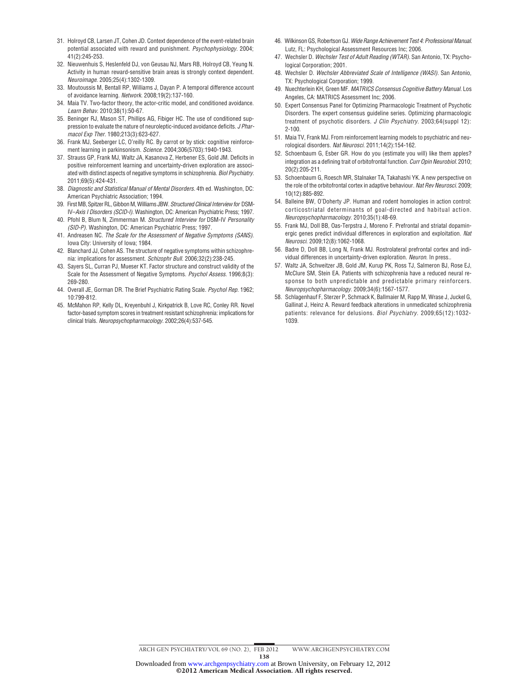- 31. Holroyd CB, Larsen JT, Cohen JD. Context dependence of the event-related brain potential associated with reward and punishment. *Psychophysiology*. 2004; 41(2):245-253.
- 32. Nieuwenhuis S, Heslenfeld DJ, von Geusau NJ, Mars RB, Holroyd CB, Yeung N. Activity in human reward-sensitive brain areas is strongly context dependent. *Neuroimage*. 2005;25(4):1302-1309.
- 33. Moutoussis M, Bentall RP, Williams J, Dayan P. A temporal difference account of avoidance learning. *Network*. 2008;19(2):137-160.
- 34. Maia TV. Two-factor theory, the actor-critic model, and conditioned avoidance. *Learn Behav*. 2010;38(1):50-67.
- 35. Beninger RJ, Mason ST, Phillips AG, Fibiger HC. The use of conditioned suppression to evaluate the nature of neuroleptic-induced avoidance deficits. *J Pharmacol Exp Ther*. 1980;213(3):623-627.
- 36. Frank MJ, Seeberger LC, O'reilly RC. By carrot or by stick: cognitive reinforcement learning in parkinsonism. *Science*. 2004;306(5703):1940-1943.
- 37. Strauss GP, Frank MJ, Waltz JA, Kasanova Z, Herbener ES, Gold JM. Deficits in positive reinforcement learning and uncertainty-driven exploration are associated with distinct aspects of negative symptoms in schizophrenia. *Biol Psychiatry*. 2011;69(5):424-431.
- 38. *Diagnostic and Statistical Manual of Mental Disorders.* 4th ed. Washington, DC: American Psychiatric Association; 1994.
- 39. First MB, Spitzer RL, Gibbon M, Williams JBW.*Structured Clinical Interview for* DSM-IV–*Axis I Disorders (SCID-I).* Washington, DC: American Psychiatric Press; 1997.
- 40. Pfohl B, Blum N, Zimmerman M. *Structured Interview for* DSM-IV *Personality (SID-P).* Washington, DC: American Psychiatric Press; 1997.
- 41. Andreasen NC. *The Scale for the Assessment of Negative Symptoms (SANS).* Iowa City: University of Iowa; 1984.
- 42. Blanchard JJ, Cohen AS. The structure of negative symptoms within schizophrenia: implications for assessment. *Schizophr Bull*. 2006;32(2):238-245.
- 43. Sayers SL, Curran PJ, Mueser KT. Factor structure and construct validity of the Scale for the Assessment of Negative Symptoms. *Psychol Assess*. 1996;8(3): 269-280.
- 44. Overall JE, Gorman DR. The Brief Psychiatric Rating Scale. *Psychol Rep*. 1962; 10:799-812.
- 45. McMahon RP, Kelly DL, Kreyenbuhl J, Kirkpatrick B, Love RC, Conley RR. Novel factor-based symptom scores in treatment resistant schizophrenia: implications for clinical trials. *Neuropsychopharmacology*. 2002;26(4):537-545.
- 46. Wilkinson GS, Robertson GJ. *Wide Range Achievement Test 4: Professional Manual.* Lutz, FL: Psychological Assessment Resources Inc; 2006.
- 47. Wechsler D. *Wechsler Test of Adult Reading (WTAR).* San Antonio, TX: Psychological Corporation; 2001.
- 48. Wechsler D. *Wechsler Abbreviated Scale of Intelligence (WASI).* San Antonio, TX: Psychological Corporation; 1999.
- 49. Nuechterlein KH, Green MF. *MATRICS Consensus Cognitive Battery Manual.* Los Angeles, CA: MATRICS Assessment Inc; 2006.
- 50. Expert Consensus Panel for Optimizing Pharmacologic Treatment of Psychotic Disorders. The expert consensus guideline series. Optimizing pharmacologic treatment of psychotic disorders. *J Clin Psychiatry*. 2003;64(suppl 12): 2-100.
- 51. Maia TV, Frank MJ. From reinforcement learning models to psychiatric and neurological disorders. *Nat Neurosci*. 2011;14(2):154-162.
- 52. Schoenbaum G, Esber GR. How do you (estimate you will) like them apples? integration as a defining trait of orbitofrontal function. *Curr Opin Neurobiol*. 2010; 20(2):205-211.
- 53. Schoenbaum G, Roesch MR, Stalnaker TA, Takahashi YK. A new perspective on the role of the orbitofrontal cortex in adaptive behaviour. *Nat Rev Neurosci*. 2009; 10(12):885-892.
- 54. Balleine BW, O'Doherty JP. Human and rodent homologies in action control: corticostriatal determinants of goal-directed and habitual action. *Neuropsychopharmacology*. 2010;35(1):48-69.
- 55. Frank MJ, Doll BB, Oas-Terpstra J, Moreno F. Prefrontal and striatal dopaminergic genes predict individual differences in exploration and exploitation. *Nat Neurosci*. 2009;12(8):1062-1068.
- 56. Badre D, Doll BB, Long N, Frank MJ. Rostrolateral prefrontal cortex and individual differences in uncertainty-driven exploration. *Neuron*. In press..
- 57. Waltz JA, Schweitzer JB, Gold JM, Kurup PK, Ross TJ, Salmeron BJ, Rose EJ, McClure SM, Stein EA. Patients with schizophrenia have a reduced neural response to both unpredictable and predictable primary reinforcers. *Neuropsychopharmacology*. 2009;34(6):1567-1577.
- 58. Schlagenhauf F, Sterzer P, Schmack K, Ballmaier M, Rapp M, Wrase J, Juckel G, Gallinat J, Heinz A. Reward feedback alterations in unmedicated schizophrenia patients: relevance for delusions. *Biol Psychiatry*. 2009;65(12):1032- 1039.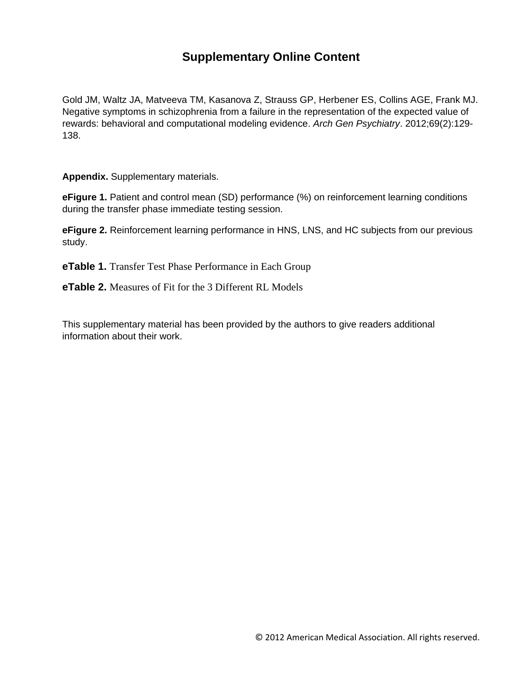# **Supplementary Online Content**

Gold JM, Waltz JA, Matveeva TM, Kasanova Z, Strauss GP, Herbener ES, Collins AGE, Frank MJ. Negative symptoms in schizophrenia from a failure in the representation of the expected value of rewards: behavioral and computational modeling evidence. *Arch Gen Psychiatry*. 2012;69(2):129- 138.

**Appendix.** Supplementary materials.

**eFigure 1.** Patient and control mean (SD) performance (%) on reinforcement learning conditions during the transfer phase immediate testing session.

**eFigure 2.** Reinforcement learning performance in HNS, LNS, and HC subjects from our previous study.

**eTable 1.** Transfer Test Phase Performance in Each Group

**eTable 2.** Measures of Fit for the 3 Different RL Models

This supplementary material has been provided by the authors to give readers additional information about their work.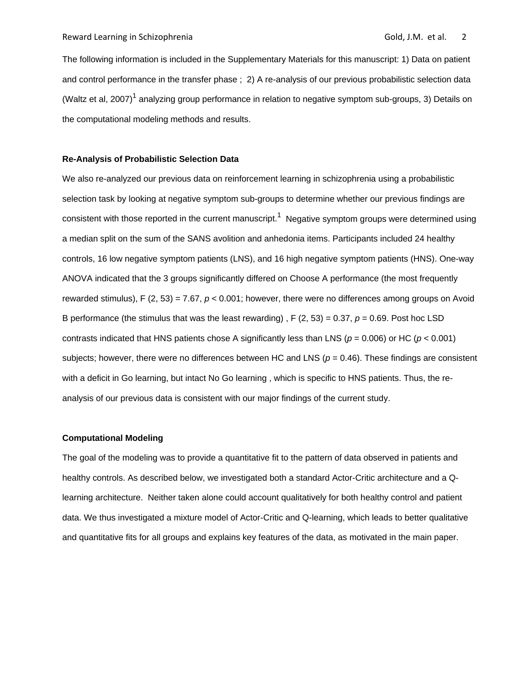The following information is included in the Supplementary Materials for this manuscript: 1) Data on patient and control performance in the transfer phase ; 2) A re-analysis of our previous probabilistic selection data (Waltz et al, 2007)<sup>1</sup> analyzing group performance in relation to negative symptom sub-groups, 3) Details on the computational modeling methods and results.

### **Re-Analysis of Probabilistic Selection Data**

We also re-analyzed our previous data on reinforcement learning in schizophrenia using a probabilistic selection task by looking at negative symptom sub-groups to determine whether our previous findings are consistent with those reported in the current manuscript.<sup>1</sup> Negative symptom groups were determined using a median split on the sum of the SANS avolition and anhedonia items. Participants included 24 healthy controls, 16 low negative symptom patients (LNS), and 16 high negative symptom patients (HNS). One-way ANOVA indicated that the 3 groups significantly differed on Choose A performance (the most frequently rewarded stimulus), F (2, 53) = 7.67, *p* < 0.001; however, there were no differences among groups on Avoid B performance (the stimulus that was the least rewarding) , F (2, 53) = 0.37, *p* = 0.69. Post hoc LSD contrasts indicated that HNS patients chose A significantly less than LNS (*p* = 0.006) or HC (*p* < 0.001) subjects; however, there were no differences between HC and LNS ( $p = 0.46$ ). These findings are consistent with a deficit in Go learning, but intact No Go learning , which is specific to HNS patients. Thus, the reanalysis of our previous data is consistent with our major findings of the current study.

### **Computational Modeling**

The goal of the modeling was to provide a quantitative fit to the pattern of data observed in patients and healthy controls. As described below, we investigated both a standard Actor-Critic architecture and a Qlearning architecture. Neither taken alone could account qualitatively for both healthy control and patient data. We thus investigated a mixture model of Actor-Critic and Q-learning, which leads to better qualitative and quantitative fits for all groups and explains key features of the data, as motivated in the main paper.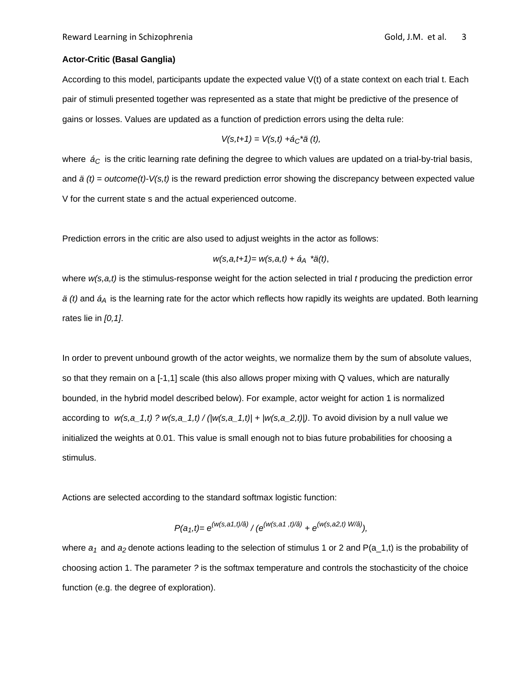### **Actor-Critic (Basal Ganglia)**

According to this model, participants update the expected value V(t) of a state context on each trial t. Each pair of stimuli presented together was represented as a state that might be predictive of the presence of gains or losses. Values are updated as a function of prediction errors using the delta rule:

$$
V(s,t+1) = V(s,t) + a^{-2} \ddot{a} (t),
$$

where  $\acute{a}_{C}$  is the critic learning rate defining the degree to which values are updated on a trial-by-trial basis, and *ä (t)* = *outcome(t)-V(s,t)* is the reward prediction error showing the discrepancy between expected value V for the current state s and the actual experienced outcome.

Prediction errors in the critic are also used to adjust weights in the actor as follows:

$$
w(s, a, t+1) = w(s, a, t) + aA * a(t),
$$

where *w(s,a,t)* is the stimulus-response weight for the action selected in trial *t* producing the prediction error *ä (t)* and *áA* is the learning rate for the actor which reflects how rapidly its weights are updated. Both learning rates lie in *[0,1]*.

In order to prevent unbound growth of the actor weights, we normalize them by the sum of absolute values, so that they remain on a [-1,1] scale (this also allows proper mixing with Q values, which are naturally bounded, in the hybrid model described below). For example, actor weight for action 1 is normalized according to  $w(s,a_1,t)$  ?  $w(s,a_1,t)$  / ( $|w(s,a_1,t)| + |w(s,a_2,t)|$ ). To avoid division by a null value we initialized the weights at 0.01. This value is small enough not to bias future probabilities for choosing a stimulus.

Actions are selected according to the standard softmax logistic function:

$$
P(a_1,t) = e^{(w(s,a1,t)/â)} / (e^{(w(s,a1,t)/â)} + e^{(w(s,a2,t) W/\hat{a})}),
$$

where  $a_1$  and  $a_2$  denote actions leading to the selection of stimulus 1 or 2 and  $P(a_1, t)$  is the probability of choosing action 1. The parameter *?* is the softmax temperature and controls the stochasticity of the choice function (e.g. the degree of exploration).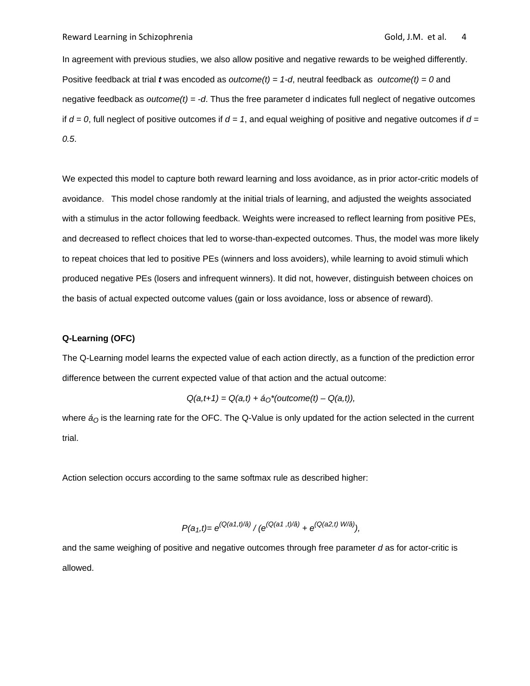### Reward Learning in Schizophrenia **by the set of the set of the Schipmers** of Gold, J.M. et al. 4

In agreement with previous studies, we also allow positive and negative rewards to be weighed differently. Positive feedback at trial *t* was encoded as *outcome(t) = 1-d*, neutral feedback as *outcome(t) = 0* and negative feedback as *outcome(t) = -d*. Thus the free parameter d indicates full neglect of negative outcomes if  $d = 0$ , full neglect of positive outcomes if  $d = 1$ , and equal weighing of positive and negative outcomes if  $d =$ *0.5*.

We expected this model to capture both reward learning and loss avoidance, as in prior actor-critic models of avoidance. This model chose randomly at the initial trials of learning, and adjusted the weights associated with a stimulus in the actor following feedback. Weights were increased to reflect learning from positive PEs, and decreased to reflect choices that led to worse-than-expected outcomes. Thus, the model was more likely to repeat choices that led to positive PEs (winners and loss avoiders), while learning to avoid stimuli which produced negative PEs (losers and infrequent winners). It did not, however, distinguish between choices on the basis of actual expected outcome values (gain or loss avoidance, loss or absence of reward).

### **Q-Learning (OFC)**

The Q-Learning model learns the expected value of each action directly, as a function of the prediction error difference between the current expected value of that action and the actual outcome:

$$
Q(a,t+1) = Q(a,t) + \acute{a}_0^*(outcome(t) - Q(a,t)),
$$

where  $\acute{a}_O$  is the learning rate for the OFC. The Q-Value is only updated for the action selected in the current trial.

Action selection occurs according to the same softmax rule as described higher:

$$
P(a_1,t) = e^{(Q(a_1,t)/\hat{a})} / (e^{(Q(a_1,t)/\hat{a})} + e^{(Q(a_2,t) W/\hat{a})}),
$$

and the same weighing of positive and negative outcomes through free parameter *d* as for actor-critic is allowed.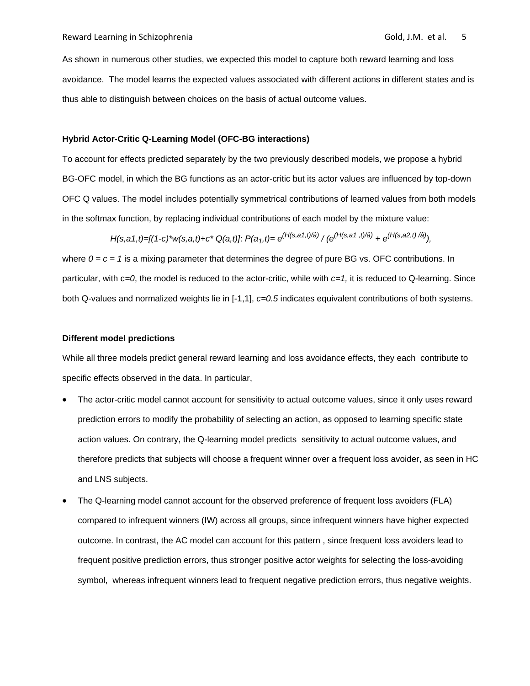As shown in numerous other studies, we expected this model to capture both reward learning and loss avoidance. The model learns the expected values associated with different actions in different states and is thus able to distinguish between choices on the basis of actual outcome values.

### **Hybrid Actor-Critic Q-Learning Model (OFC-BG interactions)**

To account for effects predicted separately by the two previously described models, we propose a hybrid BG-OFC model, in which the BG functions as an actor-critic but its actor values are influenced by top-down OFC Q values. The model includes potentially symmetrical contributions of learned values from both models in the softmax function, by replacing individual contributions of each model by the mixture value:

$$
H(s,a1,t)=[(1-c)^*w(s,a,t)+c^*Q(a,t)]. P(a_1,t)=e^{(H(s,a1,t)/\hat{a})}/(e^{(H(s,a1,t)/\hat{a})}+e^{(H(s,a2,t)/\hat{a})}),
$$

where  $0 = c = 1$  is a mixing parameter that determines the degree of pure BG vs. OFC contributions. In particular, with c*=0*, the model is reduced to the actor-critic, while with *c=1,* it is reduced to Q-learning. Since both Q-values and normalized weights lie in [-1,1], *c=0.5* indicates equivalent contributions of both systems.

### **Different model predictions**

While all three models predict general reward learning and loss avoidance effects, they each contribute to specific effects observed in the data. In particular,

- The actor-critic model cannot account for sensitivity to actual outcome values, since it only uses reward prediction errors to modify the probability of selecting an action, as opposed to learning specific state action values. On contrary, the Q-learning model predicts sensitivity to actual outcome values, and therefore predicts that subjects will choose a frequent winner over a frequent loss avoider, as seen in HC and LNS subjects.
- The Q-learning model cannot account for the observed preference of frequent loss avoiders (FLA) compared to infrequent winners (IW) across all groups, since infrequent winners have higher expected outcome. In contrast, the AC model can account for this pattern , since frequent loss avoiders lead to frequent positive prediction errors, thus stronger positive actor weights for selecting the loss-avoiding symbol, whereas infrequent winners lead to frequent negative prediction errors, thus negative weights.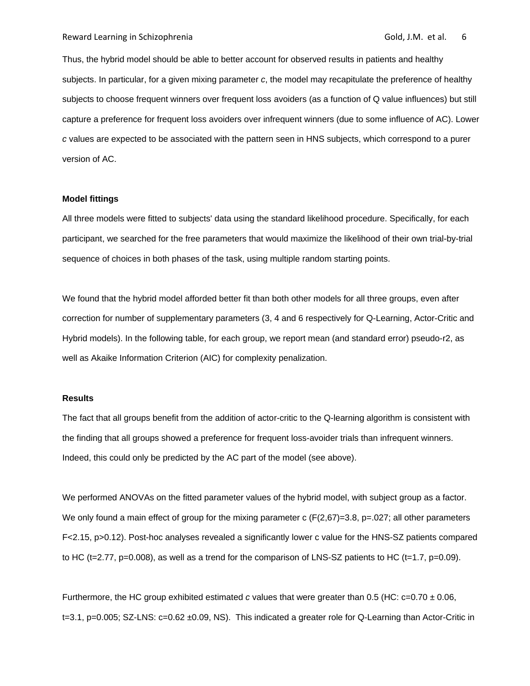Thus, the hybrid model should be able to better account for observed results in patients and healthy subjects. In particular, for a given mixing parameter *c*, the model may recapitulate the preference of healthy subjects to choose frequent winners over frequent loss avoiders (as a function of Q value influences) but still capture a preference for frequent loss avoiders over infrequent winners (due to some influence of AC). Lower *c* values are expected to be associated with the pattern seen in HNS subjects, which correspond to a purer version of AC.

### **Model fittings**

All three models were fitted to subjects' data using the standard likelihood procedure. Specifically, for each participant, we searched for the free parameters that would maximize the likelihood of their own trial-by-trial sequence of choices in both phases of the task, using multiple random starting points.

We found that the hybrid model afforded better fit than both other models for all three groups, even after correction for number of supplementary parameters (3, 4 and 6 respectively for Q-Learning, Actor-Critic and Hybrid models). In the following table, for each group, we report mean (and standard error) pseudo-r2, as well as Akaike Information Criterion (AIC) for complexity penalization.

### **Results**

The fact that all groups benefit from the addition of actor-critic to the Q-learning algorithm is consistent with the finding that all groups showed a preference for frequent loss-avoider trials than infrequent winners. Indeed, this could only be predicted by the AC part of the model (see above).

We performed ANOVAs on the fitted parameter values of the hybrid model, with subject group as a factor. We only found a main effect of group for the mixing parameter c  $(F(2,67)=3.8, p=.027;$  all other parameters F<2.15, p>0.12). Post-hoc analyses revealed a significantly lower c value for the HNS-SZ patients compared to HC (t=2.77, p=0.008), as well as a trend for the comparison of LNS-SZ patients to HC (t=1.7, p=0.09).

Furthermore, the HC group exhibited estimated *c* values that were greater than 0.5 (HC:  $c=0.70 \pm 0.06$ , t=3.1, p=0.005; SZ-LNS: c=0.62 ±0.09, NS). This indicated a greater role for Q-Learning than Actor-Critic in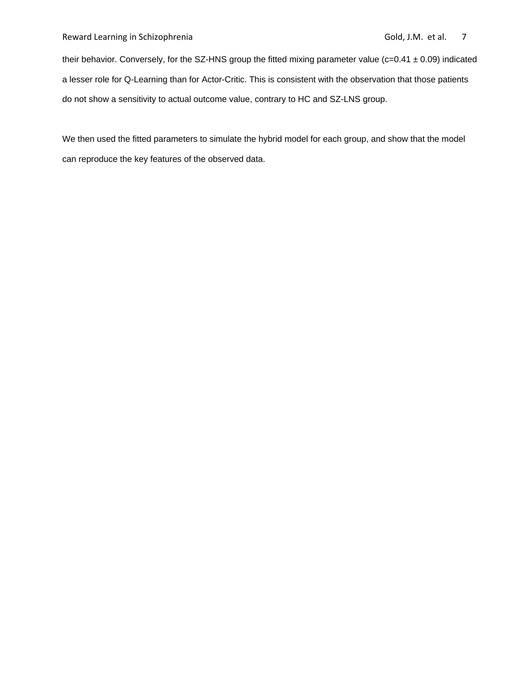### Reward Learning in Schizophrenia **by the set of the Collact Collact Schi**zophrenia contract of the Collact Schizophrenia

their behavior. Conversely, for the SZ-HNS group the fitted mixing parameter value (c=0.41  $\pm$  0.09) indicated a lesser role for Q-Learning than for Actor-Critic. This is consistent with the observation that those patients do not show a sensitivity to actual outcome value, contrary to HC and SZ-LNS group.

We then used the fitted parameters to simulate the hybrid model for each group, and show that the model can reproduce the key features of the observed data.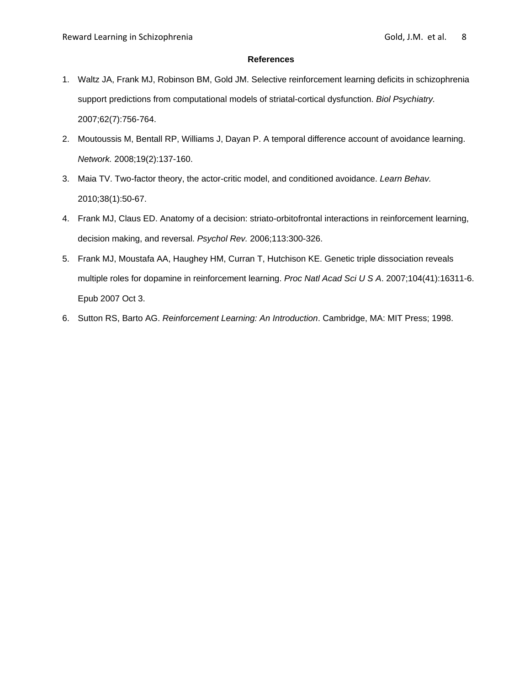### **References**

- 1. Waltz JA, Frank MJ, Robinson BM, Gold JM. Selective reinforcement learning deficits in schizophrenia support predictions from computational models of striatal-cortical dysfunction. *Biol Psychiatry.*  2007;62(7):756-764.
- 2. Moutoussis M, Bentall RP, Williams J, Dayan P. A temporal difference account of avoidance learning. *Network.* 2008;19(2):137-160.
- 3. Maia TV. Two-factor theory, the actor-critic model, and conditioned avoidance. *Learn Behav.*  2010;38(1):50-67.
- 4. Frank MJ, Claus ED. Anatomy of a decision: striato-orbitofrontal interactions in reinforcement learning, decision making, and reversal. *Psychol Rev.* 2006;113:300-326.
- 5. Frank MJ, Moustafa AA, Haughey HM, Curran T, Hutchison KE. Genetic triple dissociation reveals multiple roles for dopamine in reinforcement learning. *Proc Natl Acad Sci U S A*. 2007;104(41):16311-6. Epub 2007 Oct 3.
- 6. Sutton RS, Barto AG. *Reinforcement Learning: An Introduction*. Cambridge, MA: MIT Press; 1998.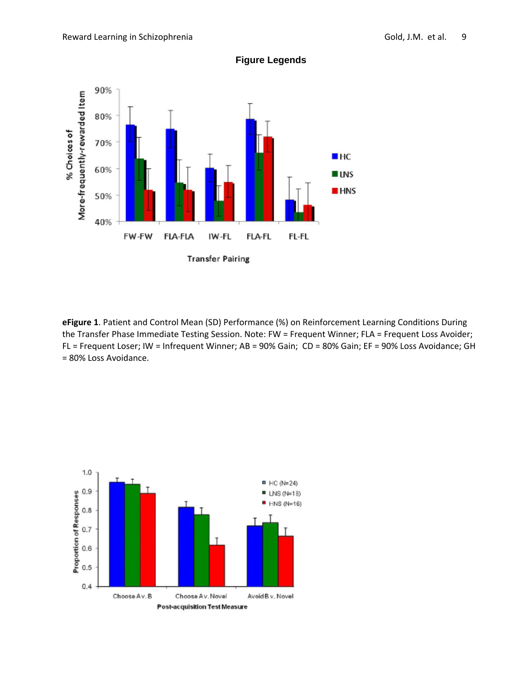

**Figure Legends** 

**eFigure 1**. Patient and Control Mean (SD) Performance (%) on Reinforcement Learning Conditions During the Transfer Phase Immediate Testing Session. Note: FW = Frequent Winner; FLA = Frequent Loss Avoider; FL = Frequent Loser; IW = Infrequent Winner; AB = 90% Gain; CD = 80% Gain; EF = 90% Loss Avoidance; GH = 80% Loss Avoidance.

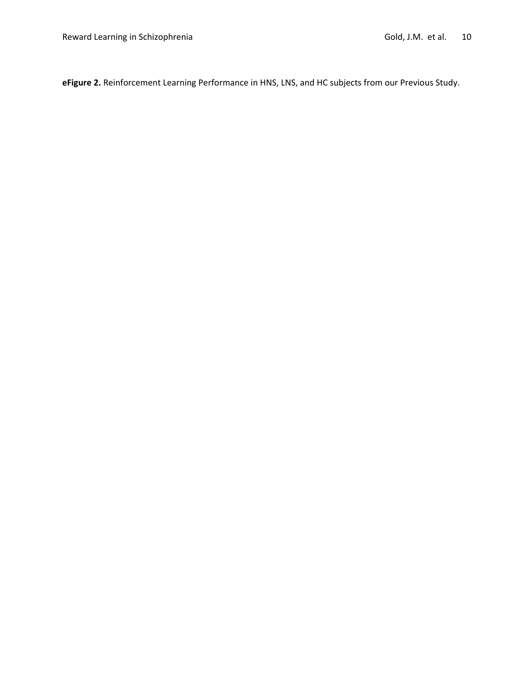**eFigure 2.** Reinforcement Learning Performance in HNS, LNS, and HC subjects from our Previous Study.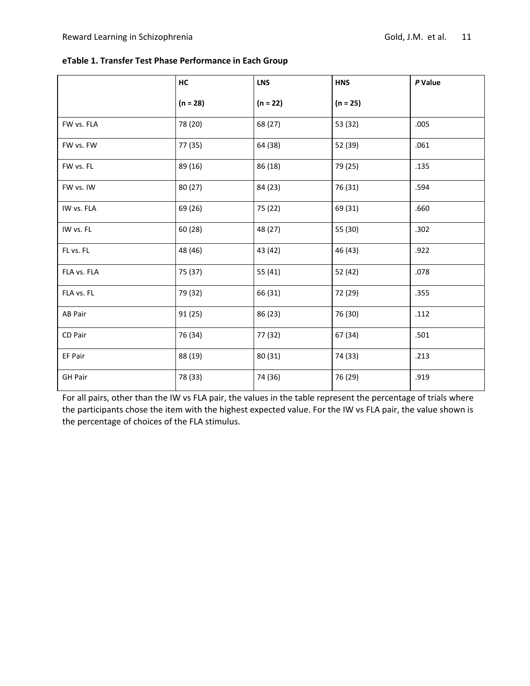| eTable 1. Transfer Test Phase Performance in Each Group |  |  |
|---------------------------------------------------------|--|--|
|---------------------------------------------------------|--|--|

|                | HC         | <b>LNS</b> | <b>HNS</b> | P Value |
|----------------|------------|------------|------------|---------|
|                | $(n = 28)$ | $(n = 22)$ | $(n = 25)$ |         |
| FW vs. FLA     | 78 (20)    | 68 (27)    | 53 (32)    | .005    |
| FW vs. FW      | 77 (35)    | 64 (38)    | 52 (39)    | .061    |
| FW vs. FL      | 89 (16)    | 86 (18)    | 79 (25)    | .135    |
| FW vs. IW      | 80 (27)    | 84 (23)    | 76 (31)    | .594    |
| IW vs. FLA     | 69 (26)    | 75 (22)    | 69 (31)    | .660    |
| IW vs. FL      | 60 (28)    | 48 (27)    | 55 (30)    | .302    |
| FL vs. FL      | 48 (46)    | 43 (42)    | 46 (43)    | .922    |
| FLA vs. FLA    | 75 (37)    | 55 (41)    | 52 (42)    | .078    |
| FLA vs. FL     | 79 (32)    | 66 (31)    | 72 (29)    | .355    |
| AB Pair        | 91 (25)    | 86 (23)    | 76 (30)    | .112    |
| CD Pair        | 76 (34)    | 77 (32)    | 67 (34)    | .501    |
| EF Pair        | 88 (19)    | 80 (31)    | 74 (33)    | .213    |
| <b>GH Pair</b> | 78 (33)    | 74 (36)    | 76 (29)    | .919    |

For all pairs, other than the IW vs FLA pair, the values in the table represent the percentage of trials where the participants chose the item with the highest expected value. For the IW vs FLA pair, the value shown is the percentage of choices of the FLA stimulus.